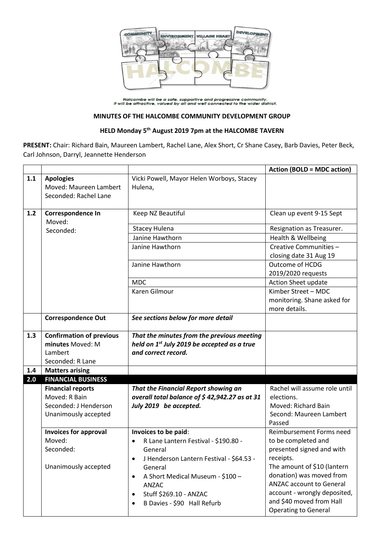

Halcombe will be a safe, supportive and progressive community.<br>It will be attractive, valued by all and well connected to the wider district.

## **MINUTES OF THE HALCOMBE COMMUNITY DEVELOPMENT GROUP**

## **HELD Monday 5 th August 2019 7pm at the HALCOMBE TAVERN**

**PRESENT:** Chair: Richard Bain, Maureen Lambert, Rachel Lane, Alex Short, Cr Shane Casey, Barb Davies, Peter Beck, Carl Johnson, Darryl, Jeannette Henderson

|     |                                                                     |                                                         | <b>Action (BOLD = MDC action)</b>                                   |  |
|-----|---------------------------------------------------------------------|---------------------------------------------------------|---------------------------------------------------------------------|--|
| 1.1 | <b>Apologies</b><br>Moved: Maureen Lambert<br>Seconded: Rachel Lane | Vicki Powell, Mayor Helen Worboys, Stacey<br>Hulena,    |                                                                     |  |
|     |                                                                     |                                                         |                                                                     |  |
| 1.2 | Correspondence In<br>Moved:                                         | Keep NZ Beautiful                                       | Clean up event 9-15 Sept                                            |  |
|     | Seconded:                                                           | <b>Stacey Hulena</b>                                    | Resignation as Treasurer.                                           |  |
|     |                                                                     | Janine Hawthorn                                         | Health & Wellbeing                                                  |  |
|     |                                                                     | Janine Hawthorn                                         | Creative Communities -<br>closing date 31 Aug 19                    |  |
|     |                                                                     | Janine Hawthorn                                         | Outcome of HCDG<br>2019/2020 requests                               |  |
|     |                                                                     | <b>MDC</b>                                              | Action Sheet update                                                 |  |
|     |                                                                     | <b>Karen Gilmour</b>                                    | Kimber Street - MDC<br>monitoring. Shane asked for<br>more details. |  |
|     | <b>Correspondence Out</b>                                           | See sections below for more detail                      |                                                                     |  |
|     |                                                                     |                                                         |                                                                     |  |
| 1.3 | <b>Confirmation of previous</b>                                     | That the minutes from the previous meeting              |                                                                     |  |
|     | minutes Moved: M                                                    | held on 1 <sup>st</sup> July 2019 be accepted as a true |                                                                     |  |
|     | Lambert                                                             | and correct record.                                     |                                                                     |  |
|     | Seconded: R Lane                                                    |                                                         |                                                                     |  |
| 1.4 | <b>Matters arising</b>                                              |                                                         |                                                                     |  |
| 2.0 | <b>FINANCIAL BUSINESS</b>                                           |                                                         |                                                                     |  |
|     | <b>Financial reports</b>                                            | That the Financial Report showing an                    | Rachel will assume role until                                       |  |
|     | Moved: R Bain                                                       | overall total balance of \$42,942.27 as at 31           | elections.                                                          |  |
|     | Seconded: J Henderson                                               | July 2019 be accepted.                                  | Moved: Richard Bain                                                 |  |
|     | Unanimously accepted                                                |                                                         | Second: Maureen Lambert<br>Passed                                   |  |
|     | <b>Invoices for approval</b>                                        | Invoices to be paid:                                    | Reimbursement Forms need                                            |  |
|     | Moved:                                                              | R Lane Lantern Festival - \$190.80 -                    | to be completed and                                                 |  |
|     | Seconded:                                                           | General                                                 | presented signed and with                                           |  |
|     | J Henderson Lantern Festival - \$64.53 -<br>$\bullet$               |                                                         | receipts.                                                           |  |
|     | Unanimously accepted                                                | General                                                 | The amount of \$10 (lantern                                         |  |
|     |                                                                     | A Short Medical Museum - \$100 -<br>$\bullet$           | donation) was moved from                                            |  |
|     |                                                                     | ANZAC                                                   | <b>ANZAC account to General</b>                                     |  |
|     |                                                                     | Stuff \$269.10 - ANZAC<br>$\bullet$                     | account - wrongly deposited,                                        |  |
|     |                                                                     | B Davies - \$90 Hall Refurb<br>$\bullet$                | and \$40 moved from Hall<br><b>Operating to General</b>             |  |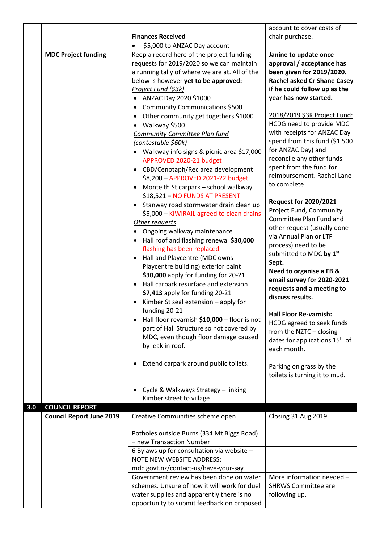|     |                                 |                                                                 | account to cover costs of                          |
|-----|---------------------------------|-----------------------------------------------------------------|----------------------------------------------------|
|     |                                 | <b>Finances Received</b>                                        | chair purchase.                                    |
|     |                                 | \$5,000 to ANZAC Day account                                    |                                                    |
|     | <b>MDC Project funding</b>      | Keep a record here of the project funding                       | Janine to update once                              |
|     |                                 | requests for 2019/2020 so we can maintain                       | approval / acceptance has                          |
|     |                                 | a running tally of where we are at. All of the                  | been given for 2019/2020.                          |
|     |                                 | below is however yet to be approved:                            | <b>Rachel asked Cr Shane Casey</b>                 |
|     |                                 | Project Fund (\$3k)                                             | if he could follow up as the                       |
|     |                                 | ANZAC Day 2020 \$1000<br>$\bullet$                              | year has now started.                              |
|     |                                 | <b>Community Communications \$500</b><br>$\bullet$              |                                                    |
|     |                                 | Other community get togethers \$1000<br>$\bullet$               | 2018/2019 \$3K Project Fund:                       |
|     |                                 | Walkway \$500<br>$\bullet$                                      | HCDG need to provide MDC                           |
|     |                                 | <b>Community Committee Plan fund</b>                            | with receipts for ANZAC Day                        |
|     |                                 | (contestable \$60k)                                             | spend from this fund (\$1,500                      |
|     |                                 | • Walkway info signs & picnic area \$17,000                     | for ANZAC Day) and                                 |
|     |                                 | APPROVED 2020-21 budget                                         | reconcile any other funds                          |
|     |                                 | • CBD/Cenotaph/Rec area development                             | spent from the fund for                            |
|     |                                 | \$8,200 - APPROVED 2021-22 budget                               | reimbursement. Rachel Lane                         |
|     |                                 | Monteith St carpark - school walkway<br>$\bullet$               | to complete                                        |
|     |                                 | \$18,521 - NO FUNDS AT PRESENT                                  |                                                    |
|     |                                 | Stanway road stormwater drain clean up<br>$\bullet$             | <b>Request for 2020/2021</b>                       |
|     |                                 | \$5,000 - KIWIRAIL agreed to clean drains                       | Project Fund, Community<br>Committee Plan Fund and |
|     |                                 | Other requests                                                  | other request (usually done                        |
|     |                                 | Ongoing walkway maintenance                                     | via Annual Plan or LTP                             |
|     |                                 | Hall roof and flashing renewal \$30,000                         | process) need to be                                |
|     |                                 | flashing has been replaced                                      | submitted to MDC by 1st                            |
|     |                                 | Hall and Playcentre (MDC owns<br>$\bullet$                      | Sept.                                              |
|     |                                 | Playcentre building) exterior paint                             | Need to organise a FB &                            |
|     |                                 | \$30,000 apply for funding for 20-21                            | email survey for 2020-2021                         |
|     |                                 | Hall carpark resurface and extension<br>$\bullet$               | requests and a meeting to                          |
|     |                                 | \$7,413 apply for funding 20-21                                 | discuss results.                                   |
|     |                                 | Kimber St seal extension - apply for                            |                                                    |
|     |                                 | funding 20-21                                                   | <b>Hall Floor Re-varnish:</b>                      |
|     |                                 | Hall floor revarnish \$10,000 - floor is not<br>٠               | HCDG agreed to seek funds                          |
|     |                                 | part of Hall Structure so not covered by                        | from the NZTC - closing                            |
|     |                                 | MDC, even though floor damage caused                            | dates for applications 15 <sup>th</sup> of         |
|     |                                 | by leak in roof.                                                | each month.                                        |
|     |                                 |                                                                 |                                                    |
|     |                                 | Extend carpark around public toilets.<br>٠                      | Parking on grass by the                            |
|     |                                 |                                                                 | toilets is turning it to mud.                      |
|     |                                 |                                                                 |                                                    |
|     |                                 | Cycle & Walkways Strategy - linking<br>Kimber street to village |                                                    |
| 3.0 | <b>COUNCIL REPORT</b>           |                                                                 |                                                    |
|     | <b>Council Report June 2019</b> | Creative Communities scheme open                                | Closing 31 Aug 2019                                |
|     |                                 |                                                                 |                                                    |
|     |                                 | Potholes outside Burns (334 Mt Biggs Road)                      |                                                    |
|     |                                 | - new Transaction Number                                        |                                                    |
|     |                                 | 6 Bylaws up for consultation via website -                      |                                                    |
|     |                                 | <b>NOTE NEW WEBSITE ADDRESS:</b>                                |                                                    |
|     |                                 | mdc.govt.nz/contact-us/have-your-say                            |                                                    |
|     |                                 | Government review has been done on water                        | More information needed -                          |
|     |                                 | schemes. Unsure of how it will work for duel                    | <b>SHRWS Committee are</b>                         |
|     |                                 | water supplies and apparently there is no                       | following up.                                      |
|     |                                 | opportunity to submit feedback on proposed                      |                                                    |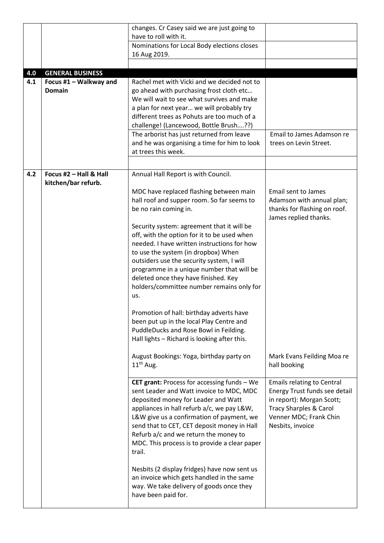|     |                                               | changes. Cr Casey said we are just going to        |                                   |
|-----|-----------------------------------------------|----------------------------------------------------|-----------------------------------|
|     |                                               | have to roll with it.                              |                                   |
|     |                                               | Nominations for Local Body elections closes        |                                   |
|     |                                               | 16 Aug 2019.                                       |                                   |
|     |                                               |                                                    |                                   |
| 4.0 | <b>GENERAL BUSINESS</b>                       |                                                    |                                   |
| 4.1 | Focus #1 - Walkway and                        | Rachel met with Vicki and we decided not to        |                                   |
|     | <b>Domain</b>                                 | go ahead with purchasing frost cloth etc           |                                   |
|     |                                               | We will wait to see what survives and make         |                                   |
|     |                                               | a plan for next year we will probably try          |                                   |
|     |                                               | different trees as Pohuts are too much of a        |                                   |
|     |                                               | challenge! (Lancewood, Bottle Brush??)             |                                   |
|     |                                               | The arborist has just returned from leave          | Email to James Adamson re         |
|     |                                               | and he was organising a time for him to look       | trees on Levin Street.            |
|     |                                               | at trees this week.                                |                                   |
|     |                                               |                                                    |                                   |
|     |                                               |                                                    |                                   |
| 4.2 | Focus #2 - Hall & Hall<br>kitchen/bar refurb. | Annual Hall Report is with Council.                |                                   |
|     |                                               | MDC have replaced flashing between main            | <b>Email sent to James</b>        |
|     |                                               | hall roof and supper room. So far seems to         | Adamson with annual plan;         |
|     |                                               | be no rain coming in.                              | thanks for flashing on roof.      |
|     |                                               |                                                    | James replied thanks.             |
|     |                                               | Security system: agreement that it will be         |                                   |
|     |                                               | off, with the option for it to be used when        |                                   |
|     |                                               | needed. I have written instructions for how        |                                   |
|     |                                               | to use the system (in dropbox) When                |                                   |
|     |                                               | outsiders use the security system, I will          |                                   |
|     |                                               | programme in a unique number that will be          |                                   |
|     |                                               | deleted once they have finished. Key               |                                   |
|     |                                               | holders/committee number remains only for          |                                   |
|     |                                               | us.                                                |                                   |
|     |                                               |                                                    |                                   |
|     |                                               | Promotion of hall: birthday adverts have           |                                   |
|     |                                               | been put up in the local Play Centre and           |                                   |
|     |                                               | PuddleDucks and Rose Bowl in Feilding.             |                                   |
|     | Hall lights - Richard is looking after this.  |                                                    |                                   |
|     |                                               |                                                    |                                   |
|     |                                               | August Bookings: Yoga, birthday party on           | Mark Evans Feilding Moa re        |
|     |                                               | $11th$ Aug.                                        | hall booking                      |
|     |                                               | <b>CET grant: Process for accessing funds - We</b> | <b>Emails relating to Central</b> |
|     |                                               | sent Leader and Watt invoice to MDC, MDC           | Energy Trust funds see detail     |
|     |                                               | deposited money for Leader and Watt                | in report): Morgan Scott;         |
|     |                                               | appliances in hall refurb a/c, we pay L&W,         | <b>Tracy Sharples &amp; Carol</b> |
|     |                                               | L&W give us a confirmation of payment, we          | Venner MDC; Frank Chin            |
|     |                                               | send that to CET, CET deposit money in Hall        | Nesbits, invoice                  |
|     |                                               | Refurb a/c and we return the money to              |                                   |
|     |                                               | MDC. This process is to provide a clear paper      |                                   |
|     |                                               | trail.                                             |                                   |
|     |                                               |                                                    |                                   |
|     |                                               | Nesbits (2 display fridges) have now sent us       |                                   |
|     |                                               | an invoice which gets handled in the same          |                                   |
|     |                                               | way. We take delivery of goods once they           |                                   |
|     |                                               | have been paid for.                                |                                   |
|     |                                               |                                                    |                                   |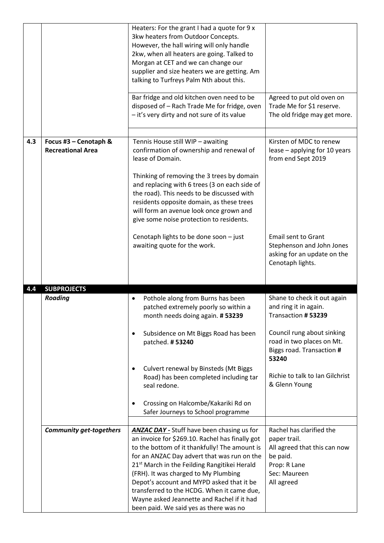|                                                          |                                | Heaters: For the grant I had a quote for 9 x<br>3kw heaters from Outdoor Concepts.<br>However, the hall wiring will only handle<br>2kw, when all heaters are going. Talked to<br>Morgan at CET and we can change our<br>supplier and size heaters we are getting. Am<br>talking to Turfreys Palm Nth about this.                                                                                                                                                                            |                                                                                                                                        |
|----------------------------------------------------------|--------------------------------|---------------------------------------------------------------------------------------------------------------------------------------------------------------------------------------------------------------------------------------------------------------------------------------------------------------------------------------------------------------------------------------------------------------------------------------------------------------------------------------------|----------------------------------------------------------------------------------------------------------------------------------------|
|                                                          |                                | Bar fridge and old kitchen oven need to be<br>disposed of - Rach Trade Me for fridge, oven<br>- it's very dirty and not sure of its value                                                                                                                                                                                                                                                                                                                                                   | Agreed to put old oven on<br>Trade Me for \$1 reserve.<br>The old fridge may get more.                                                 |
| 4.3<br>Focus #3 - Cenotaph &<br><b>Recreational Area</b> |                                | Tennis House still WIP - awaiting<br>confirmation of ownership and renewal of<br>lease of Domain.<br>Thinking of removing the 3 trees by domain<br>and replacing with 6 trees (3 on each side of<br>the road). This needs to be discussed with<br>residents opposite domain, as these trees<br>will form an avenue look once grown and<br>give some noise protection to residents.                                                                                                          | Kirsten of MDC to renew<br>lease - applying for 10 years<br>from end Sept 2019                                                         |
|                                                          |                                | Cenotaph lights to be done soon - just<br>awaiting quote for the work.                                                                                                                                                                                                                                                                                                                                                                                                                      | Email sent to Grant<br>Stephenson and John Jones<br>asking for an update on the<br>Cenotaph lights.                                    |
| 4.4                                                      | <b>SUBPROJECTS</b>             |                                                                                                                                                                                                                                                                                                                                                                                                                                                                                             |                                                                                                                                        |
|                                                          | Roading                        | Pothole along from Burns has been<br>patched extremely poorly so within a<br>month needs doing again. #53239<br>Subsidence on Mt Biggs Road has been<br>$\bullet$<br>patched. #53240                                                                                                                                                                                                                                                                                                        | Shane to check it out again<br>and ring it in again.<br>Transaction # 53239<br>Council rung about sinking<br>road in two places on Mt. |
|                                                          |                                | Culvert renewal by Binsteds (Mt Biggs<br>Road) has been completed including tar<br>seal redone.                                                                                                                                                                                                                                                                                                                                                                                             | Biggs road. Transaction #<br>53240<br>Richie to talk to Ian Gilchrist<br>& Glenn Young                                                 |
|                                                          |                                | Crossing on Halcombe/Kakariki Rd on<br>Safer Journeys to School programme                                                                                                                                                                                                                                                                                                                                                                                                                   |                                                                                                                                        |
|                                                          | <b>Community get-togethers</b> | <b>ANZAC DAY -</b> Stuff have been chasing us for<br>an invoice for \$269.10. Rachel has finally got<br>to the bottom of it thankfully! The amount is<br>for an ANZAC Day advert that was run on the<br>21 <sup>st</sup> March in the Feilding Rangitikei Herald<br>(FRH). It was charged to My Plumbing<br>Depot's account and MYPD asked that it be<br>transferred to the HCDG. When it came due,<br>Wayne asked Jeannette and Rachel if it had<br>been paid. We said yes as there was no | Rachel has clarified the<br>paper trail.<br>All agreed that this can now<br>be paid.<br>Prop: R Lane<br>Sec: Maureen<br>All agreed     |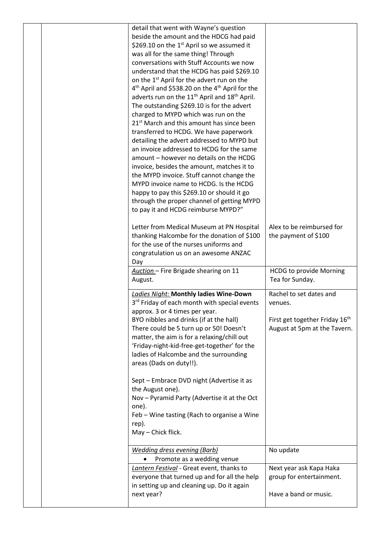|  | detail that went with Wayne's question<br>beside the amount and the HDCG had paid<br>\$269.10 on the 1 <sup>st</sup> April so we assumed it<br>was all for the same thing! Through<br>conversations with Stuff Accounts we now<br>understand that the HCDG has paid \$269.10<br>on the 1 <sup>st</sup> April for the advert run on the<br>4 <sup>th</sup> April and \$538.20 on the 4 <sup>th</sup> April for the<br>adverts run on the 11 <sup>th</sup> April and 18 <sup>th</sup> April.<br>The outstanding \$269.10 is for the advert<br>charged to MYPD which was run on the<br>21 <sup>st</sup> March and this amount has since been<br>transferred to HCDG. We have paperwork<br>detailing the advert addressed to MYPD but<br>an invoice addressed to HCDG for the same<br>amount - however no details on the HCDG<br>invoice, besides the amount, matches it to<br>the MYPD invoice. Stuff cannot change the<br>MYPD invoice name to HCDG. Is the HCDG<br>happy to pay this \$269.10 or should it go |                                                                                                      |
|--|--------------------------------------------------------------------------------------------------------------------------------------------------------------------------------------------------------------------------------------------------------------------------------------------------------------------------------------------------------------------------------------------------------------------------------------------------------------------------------------------------------------------------------------------------------------------------------------------------------------------------------------------------------------------------------------------------------------------------------------------------------------------------------------------------------------------------------------------------------------------------------------------------------------------------------------------------------------------------------------------------------------|------------------------------------------------------------------------------------------------------|
|  | through the proper channel of getting MYPD<br>to pay it and HCDG reimburse MYPD?"<br>Letter from Medical Museum at PN Hospital<br>thanking Halcombe for the donation of \$100<br>for the use of the nurses uniforms and<br>congratulation us on an awesome ANZAC<br>Day                                                                                                                                                                                                                                                                                                                                                                                                                                                                                                                                                                                                                                                                                                                                      | Alex to be reimbursed for<br>the payment of \$100                                                    |
|  | Auction - Fire Brigade shearing on 11<br>August.                                                                                                                                                                                                                                                                                                                                                                                                                                                                                                                                                                                                                                                                                                                                                                                                                                                                                                                                                             | <b>HCDG to provide Morning</b><br>Tea for Sunday.                                                    |
|  |                                                                                                                                                                                                                                                                                                                                                                                                                                                                                                                                                                                                                                                                                                                                                                                                                                                                                                                                                                                                              |                                                                                                      |
|  | Ladies Night: Monthly ladies Wine-Down<br>3 <sup>rd</sup> Friday of each month with special events<br>approx. 3 or 4 times per year.<br>BYO nibbles and drinks (if at the hall)<br>There could be 5 turn up or 50! Doesn't<br>matter, the aim is for a relaxing/chill out<br>'Friday-night-kid-free-get-together' for the<br>ladies of Halcombe and the surrounding<br>areas (Dads on duty!!).<br>Sept - Embrace DVD night (Advertise it as<br>the August one).<br>Nov - Pyramid Party (Advertise it at the Oct<br>one).<br>Feb - Wine tasting (Rach to organise a Wine<br>rep).<br>May - Chick flick.                                                                                                                                                                                                                                                                                                                                                                                                       | Rachel to set dates and<br>venues.<br>First get together Friday 16th<br>August at 5pm at the Tavern. |
|  | <b>Wedding dress evening (Barb)</b><br>Promote as a wedding venue                                                                                                                                                                                                                                                                                                                                                                                                                                                                                                                                                                                                                                                                                                                                                                                                                                                                                                                                            | No update                                                                                            |
|  | Lantern Festival - Great event, thanks to<br>everyone that turned up and for all the help<br>in setting up and cleaning up. Do it again<br>next year?                                                                                                                                                                                                                                                                                                                                                                                                                                                                                                                                                                                                                                                                                                                                                                                                                                                        | Next year ask Kapa Haka<br>group for entertainment.<br>Have a band or music.                         |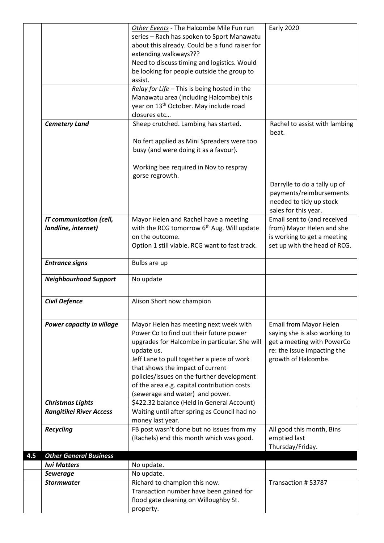|     |                                | Other Events - The Halcombe Mile Fun run               | <b>Early 2020</b>                      |
|-----|--------------------------------|--------------------------------------------------------|----------------------------------------|
|     |                                | series - Rach has spoken to Sport Manawatu             |                                        |
|     |                                | about this already. Could be a fund raiser for         |                                        |
|     |                                | extending walkways???                                  |                                        |
|     |                                | Need to discuss timing and logistics. Would            |                                        |
|     |                                | be looking for people outside the group to             |                                        |
|     |                                | assist.                                                |                                        |
|     |                                | Relay for Life - This is being hosted in the           |                                        |
|     |                                | Manawatu area (including Halcombe) this                |                                        |
|     |                                | year on 13 <sup>th</sup> October. May include road     |                                        |
|     |                                | closures etc                                           |                                        |
|     | <b>Cemetery Land</b>           | Sheep crutched. Lambing has started.                   | Rachel to assist with lambing<br>beat. |
|     |                                | No fert applied as Mini Spreaders were too             |                                        |
|     |                                | busy (and were doing it as a favour).                  |                                        |
|     |                                |                                                        |                                        |
|     |                                | Working bee required in Nov to respray                 |                                        |
|     |                                | gorse regrowth.                                        |                                        |
|     |                                |                                                        | Darrylle to do a tally up of           |
|     |                                |                                                        | payments/reimbursements                |
|     |                                |                                                        | needed to tidy up stock                |
|     |                                |                                                        | sales for this year.                   |
|     | <b>IT communication (cell,</b> | Mayor Helen and Rachel have a meeting                  | Email sent to (and received            |
|     | landline, internet)            | with the RCG tomorrow 6 <sup>th</sup> Aug. Will update | from) Mayor Helen and she              |
|     |                                | on the outcome.                                        | is working to get a meeting            |
|     |                                | Option 1 still viable. RCG want to fast track.         | set up with the head of RCG.           |
|     | <b>Entrance signs</b>          | Bulbs are up                                           |                                        |
|     | <b>Neighbourhood Support</b>   | No update                                              |                                        |
|     |                                |                                                        |                                        |
|     | <b>Civil Defence</b>           | Alison Short now champion                              |                                        |
|     |                                |                                                        |                                        |
|     | Power capacity in village      | Mayor Helen has meeting next week with                 | Email from Mayor Helen                 |
|     |                                | Power Co to find out their future power                | saying she is also working to          |
|     |                                | upgrades for Halcombe in particular. She will          | get a meeting with PowerCo             |
|     |                                | update us.                                             | re: the issue impacting the            |
|     |                                | Jeff Lane to pull together a piece of work             | growth of Halcombe.                    |
|     |                                | that shows the impact of current                       |                                        |
|     |                                | policies/issues on the further development             |                                        |
|     |                                | of the area e.g. capital contribution costs            |                                        |
|     |                                | (sewerage and water) and power.                        |                                        |
|     | <b>Christmas Lights</b>        | \$422.32 balance (Held in General Account)             |                                        |
|     | <b>Rangitikei River Access</b> | Waiting until after spring as Council had no           |                                        |
|     |                                | money last year.                                       |                                        |
|     | <b>Recycling</b>               | FB post wasn't done but no issues from my              | All good this month, Bins              |
|     |                                | (Rachels) end this month which was good.               | emptied last                           |
|     |                                |                                                        | Thursday/Friday.                       |
| 4.5 | <b>Other General Business</b>  |                                                        |                                        |
|     | <b>Iwi Matters</b>             | No update.                                             |                                        |
|     | <b>Sewerage</b>                | No update.                                             |                                        |
|     | <b>Stormwater</b>              | Richard to champion this now.                          | Transaction #53787                     |
|     |                                | Transaction number have been gained for                |                                        |
|     |                                | flood gate cleaning on Willoughby St.                  |                                        |
|     |                                | property.                                              |                                        |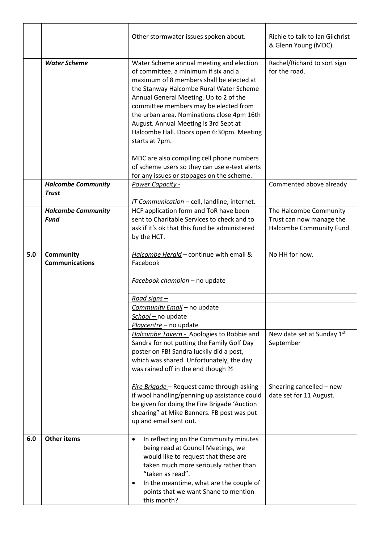|     |                                           | Other stormwater issues spoken about.                                                                                                                                                                                                                                                                                                                                                                                                                                                                                                                       | Richie to talk to Ian Gilchrist<br>& Glenn Young (MDC).                        |  |
|-----|-------------------------------------------|-------------------------------------------------------------------------------------------------------------------------------------------------------------------------------------------------------------------------------------------------------------------------------------------------------------------------------------------------------------------------------------------------------------------------------------------------------------------------------------------------------------------------------------------------------------|--------------------------------------------------------------------------------|--|
|     | <b>Water Scheme</b>                       | Water Scheme annual meeting and election<br>of committee, a minimum if six and a<br>maximum of 8 members shall be elected at<br>the Stanway Halcombe Rural Water Scheme<br>Annual General Meeting. Up to 2 of the<br>committee members may be elected from<br>the urban area. Nominations close 4pm 16th<br>August. Annual Meeting is 3rd Sept at<br>Halcombe Hall. Doors open 6:30pm. Meeting<br>starts at 7pm.<br>MDC are also compiling cell phone numbers<br>of scheme users so they can use e-text alerts<br>for any issues or stopages on the scheme. | Rachel/Richard to sort sign<br>for the road.                                   |  |
|     | <b>Halcombe Community</b><br><b>Trust</b> | Power Capacity -<br>IT Communication - cell, landline, internet.                                                                                                                                                                                                                                                                                                                                                                                                                                                                                            | Commented above already                                                        |  |
|     | <b>Halcombe Community</b><br><b>Fund</b>  | HCF application form and ToR have been<br>sent to Charitable Services to check and to<br>ask if it's ok that this fund be administered<br>by the HCT.                                                                                                                                                                                                                                                                                                                                                                                                       | The Halcombe Community<br>Trust can now manage the<br>Halcombe Community Fund. |  |
| 5.0 | Community<br><b>Communications</b>        | Halcombe Herald - continue with email &<br>Facebook                                                                                                                                                                                                                                                                                                                                                                                                                                                                                                         | No HH for now.                                                                 |  |
|     |                                           | Facebook champion - no update                                                                                                                                                                                                                                                                                                                                                                                                                                                                                                                               |                                                                                |  |
|     |                                           | Road signs -                                                                                                                                                                                                                                                                                                                                                                                                                                                                                                                                                |                                                                                |  |
|     |                                           | Community Email - no update                                                                                                                                                                                                                                                                                                                                                                                                                                                                                                                                 |                                                                                |  |
|     |                                           | School - no update                                                                                                                                                                                                                                                                                                                                                                                                                                                                                                                                          |                                                                                |  |
|     |                                           | Playcentre - no update<br>Halcombe Tavern - Apologies to Robbie and<br>Sandra for not putting the Family Golf Day<br>poster on FB! Sandra luckily did a post,<br>which was shared. Unfortunately, the day<br>was rained off in the end though $\odot$                                                                                                                                                                                                                                                                                                       | New date set at Sunday 1st<br>September                                        |  |
|     |                                           | Fire Brigade - Request came through asking<br>if wool handling/penning up assistance could<br>be given for doing the Fire Brigade 'Auction<br>shearing" at Mike Banners. FB post was put<br>up and email sent out.                                                                                                                                                                                                                                                                                                                                          | Shearing cancelled - new<br>date set for 11 August.                            |  |
| 6.0 | <b>Other items</b>                        | In reflecting on the Community minutes<br>$\bullet$<br>being read at Council Meetings, we<br>would like to request that these are<br>taken much more seriously rather than<br>"taken as read".<br>In the meantime, what are the couple of<br>٠<br>points that we want Shane to mention<br>this month?                                                                                                                                                                                                                                                       |                                                                                |  |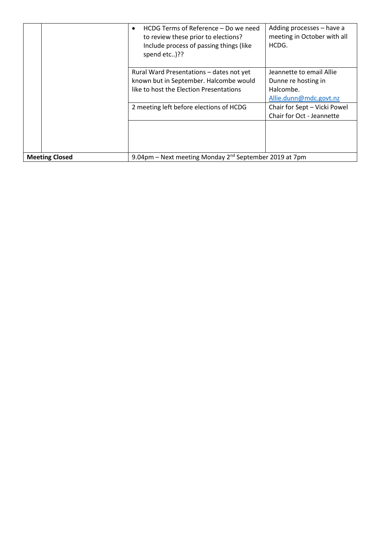|                       | HCDG Terms of Reference – Do we need<br>$\bullet$<br>to review these prior to elections?<br>Include process of passing things (like<br>spend etc)?? | Adding processes - have a<br>meeting in October with all<br>HCDG.                      |
|-----------------------|-----------------------------------------------------------------------------------------------------------------------------------------------------|----------------------------------------------------------------------------------------|
|                       | Rural Ward Presentations - dates not yet<br>known but in September. Halcombe would<br>like to host the Election Presentations                       | Jeannette to email Allie<br>Dunne re hosting in<br>Halcombe.<br>Allie.dunn@mdc.govt.nz |
|                       | 2 meeting left before elections of HCDG                                                                                                             | Chair for Sept - Vicki Powel<br>Chair for Oct - Jeannette                              |
| <b>Meeting Closed</b> | 9.04pm – Next meeting Monday 2 <sup>nd</sup> September 2019 at 7pm                                                                                  |                                                                                        |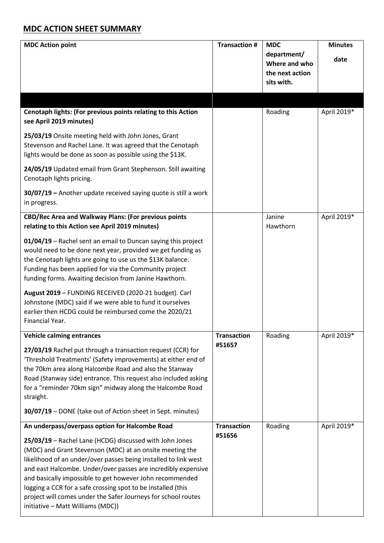## **MDC ACTION SHEET SUMMARY**

| <b>MDC Action point</b>                                                                                                                                                                                                                                                                                                                                                                                                                                                                   | <b>Transaction #</b> | <b>MDC</b><br>department/<br>Where and who<br>the next action<br>sits with. | <b>Minutes</b><br>date |
|-------------------------------------------------------------------------------------------------------------------------------------------------------------------------------------------------------------------------------------------------------------------------------------------------------------------------------------------------------------------------------------------------------------------------------------------------------------------------------------------|----------------------|-----------------------------------------------------------------------------|------------------------|
|                                                                                                                                                                                                                                                                                                                                                                                                                                                                                           |                      |                                                                             |                        |
| Cenotaph lights: (For previous points relating to this Action<br>see April 2019 minutes)                                                                                                                                                                                                                                                                                                                                                                                                  |                      | Roading                                                                     | April 2019*            |
| 25/03/19 Onsite meeting held with John Jones, Grant<br>Stevenson and Rachel Lane. It was agreed that the Cenotaph<br>lights would be done as soon as possible using the \$13K.                                                                                                                                                                                                                                                                                                            |                      |                                                                             |                        |
| 24/05/19 Updated email from Grant Stephenson. Still awaiting<br>Cenotaph lights pricing.                                                                                                                                                                                                                                                                                                                                                                                                  |                      |                                                                             |                        |
| 30/07/19 - Another update received saying quote is still a work<br>in progress.                                                                                                                                                                                                                                                                                                                                                                                                           |                      |                                                                             |                        |
| CBD/Rec Area and Walkway Plans: (For previous points<br>relating to this Action see April 2019 minutes)                                                                                                                                                                                                                                                                                                                                                                                   |                      | Janine<br>Hawthorn                                                          | April 2019*            |
| 01/04/19 - Rachel sent an email to Duncan saying this project<br>would need to be done next year, provided we get funding as<br>the Cenotaph lights are going to use us the \$13K balance.<br>Funding has been applied for via the Community project<br>funding forms. Awaiting decision from Janine Hawthorn.                                                                                                                                                                            |                      |                                                                             |                        |
| August 2019 - FUNDING RECEIVED (2020-21 budget). Carl<br>Johnstone (MDC) said if we were able to fund it ourselves<br>earlier then HCDG could be reimbursed come the 2020/21<br>Financial Year.                                                                                                                                                                                                                                                                                           |                      |                                                                             |                        |
| <b>Vehicle calming entrances</b>                                                                                                                                                                                                                                                                                                                                                                                                                                                          | <b>Transaction</b>   | Roading                                                                     | April 2019*            |
| 27/03/19 Rachel put through a transaction request (CCR) for<br>'Threshold Treatments' (Safety improvements) at either end of<br>the 70km area along Halcombe Road and also the Stanway<br>Road (Stanway side) entrance. This request also included asking<br>for a "reminder 70km sign" midway along the Halcombe Road<br>straight.                                                                                                                                                       | #51657               |                                                                             |                        |
| 30/07/19 - DONE (take out of Action sheet in Sept. minutes)                                                                                                                                                                                                                                                                                                                                                                                                                               |                      |                                                                             |                        |
| An underpass/overpass option for Halcombe Road                                                                                                                                                                                                                                                                                                                                                                                                                                            | <b>Transaction</b>   | Roading                                                                     | April 2019*            |
| 25/03/19 - Rachel Lane (HCDG) discussed with John Jones<br>(MDC) and Grant Stevenson (MDC) at an onsite meeting the<br>likelihood of an under/over passes being installed to link west<br>and east Halcombe. Under/over passes are incredibly expensive<br>and basically impossible to get however John recommended<br>logging a CCR for a safe crossing spot to be installed (this<br>project will comes under the Safer Journeys for school routes<br>initiative - Matt Williams (MDC)) | #51656               |                                                                             |                        |